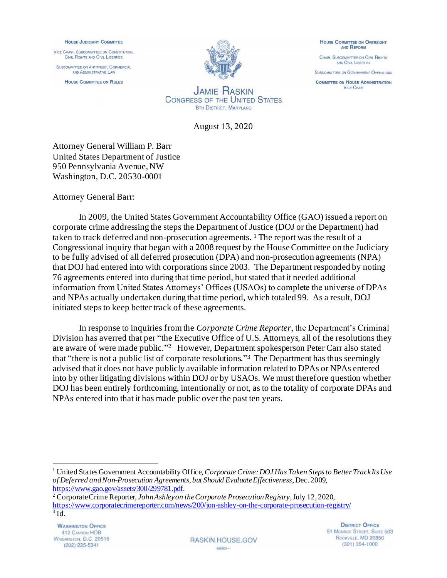## **HOUSE JUDICIARY COMMITTEE**

VICE CHAIR, SUBCOMMITTEE ON CONSTITUTION, CIVIL RIGHTS AND CIVIL LIBERTIES

SUBCOMMITTEE ON ANTITRUST. COMMERCIAL AND ADMINISTRATIVE LAW

**HOUSE COMMITTEE ON RULES** 



**HOUSE COMMITTEE ON OVERSIGHT** AND REFORM

CHAIR, SUBCOMMITTEE ON CIVIL RIGHTS AND CIVIL LIBERTIES

**SUBCOMMITTEE ON GOVERNMENT OPERATIONS** 

**COMMITTEE ON HOUSE ADMINISTRATION VICE CHAIR** 

**JAMIE HASKIN CONGRESS OF THE UNITED STATES** 8TH DISTRICT, MARYLAND

August 13, 2020

Attorney General William P. Barr United States Department of Justice 950 Pennsylvania Avenue, NW Washington, D.C. 20530-0001

Attorney General Barr:

In 2009, the United States Government Accountability Office (GAO) issued a report on corporate crime addressing the steps the Department of Justice (DOJ or the Department) had taken to track deferred and non-prosecution agreements. <sup>1</sup> The report was the result of a Congressional inquiry that began with a 2008 request by the House Committee on the Judiciary to be fully advised of all deferred prosecution (DPA) and non-prosecution agreements (NPA) that DOJ had entered into with corporations since 2003. The Department responded by noting 76 agreements entered into during that time period, but stated that it needed additional information from United States Attorneys' Offices (USAOs) to complete the universe of DPAs and NPAs actually undertaken during that time period, which totaled 99. As a result, DOJ initiated steps to keep better track of these agreements.

In response to inquiries from the *Corporate Crime Reporter*, the Department's Criminal Division has averred that per "the Executive Office of U.S. Attorneys, all of the resolutions they are aware of were made public." 2 However, Department spokesperson Peter Carr also stated that "there is not a public list of corporate resolutions." <sup>3</sup> The Department has thus seemingly advised that it does not have publicly available information related to DPAs or NPAs entered into by other litigating divisions within DOJ or by USAOs. We must therefore question whether DOJ has been entirely forthcoming, intentionally or not, as to the totality of corporate DPAs and NPAs entered into that it has made public over the past ten years.

**WASHINGTON OFFICE** 412 CANNON HOB WASHINGTON, D.C. 20515  $(202)$  225-5341

**RASKIN HOUSE GOV CRAND HILL** 

**DISTRICT OFFICE** 51 MONROE STREET, SUITE 503 ROCKVILLE, MD 20850  $(301)$  354-1000

<sup>1</sup> United States Government Accountability Office, *Corporate Crime: DOJ Has Taken Steps to Better Track Its Use of Deferred and Non-Prosecution Agreements, but Should Evaluate Effectiveness*, Dec. 2009, [https://www.gao.gov/assets/300/299781.pdf.](https://www.gao.gov/assets/300/299781.pdf)

<sup>2</sup> Corporate Crime Reporter, *John Ashley on the Corporate Prosecution Registry*, July 12, 2020, <https://www.corporatecrimereporter.com/news/200/jon-ashley-on-the-corporate-prosecution-registry/> 3 Id.